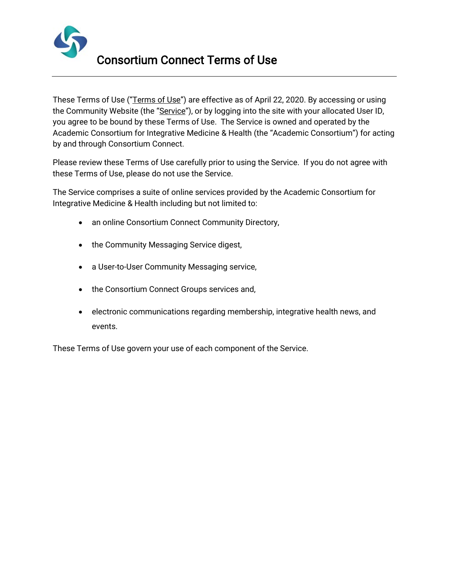

These Terms of Use ("Terms of Use") are effective as of April 22, 2020. By accessing or using the Community Website (the "Service"), or by logging into the site with your allocated User ID, you agree to be bound by these Terms of Use. The Service is owned and operated by the Academic Consortium for Integrative Medicine & Health (the "Academic Consortium") for acting by and through Consortium Connect.

Please review these Terms of Use carefully prior to using the Service. If you do not agree with these Terms of Use, please do not use the Service.

The Service comprises a suite of online services provided by the Academic Consortium for Integrative Medicine & Health including but not limited to:

- an online Consortium Connect Community Directory,
- the Community Messaging Service digest,
- a User-to-User Community Messaging service,
- the Consortium Connect Groups services and,
- electronic communications regarding membership, integrative health news, and events.

These Terms of Use govern your use of each component of the Service.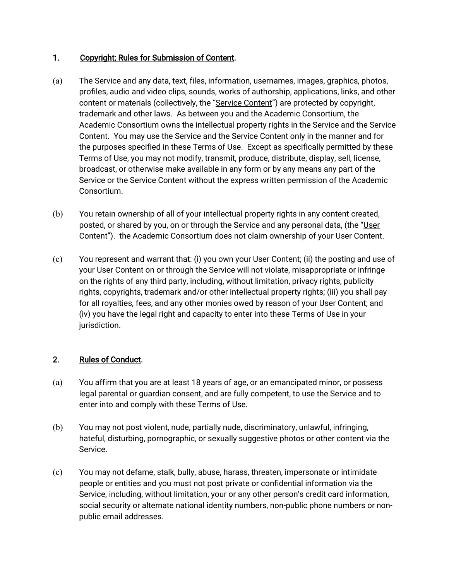### 1. Copyright; Rules for Submission of Content.

- (a) The Service and any data, text, files, information, usernames, images, graphics, photos, profiles, audio and video clips, sounds, works of authorship, applications, links, and other content or materials (collectively, the "Service Content") are protected by copyright, trademark and other laws. As between you and the Academic Consortium, the Academic Consortium owns the intellectual property rights in the Service and the Service Content. You may use the Service and the Service Content only in the manner and for the purposes specified in these Terms of Use. Except as specifically permitted by these Terms of Use, you may not modify, transmit, produce, distribute, display, sell, license, broadcast, or otherwise make available in any form or by any means any part of the Service or the Service Content without the express written permission of the Academic Consortium.
- (b) You retain ownership of all of your intellectual property rights in any content created, posted, or shared by you, on or through the Service and any personal data, (the "User Content"). the Academic Consortium does not claim ownership of your User Content.
- (c) You represent and warrant that: (i) you own your User Content; (ii) the posting and use of your User Content on or through the Service will not violate, misappropriate or infringe on the rights of any third party, including, without limitation, privacy rights, publicity rights, copyrights, trademark and/or other intellectual property rights; (iii) you shall pay for all royalties, fees, and any other monies owed by reason of your User Content; and (iv) you have the legal right and capacity to enter into these Terms of Use in your jurisdiction.

# 2. Rules of Conduct.

- (a) You affirm that you are at least 18 years of age, or an emancipated minor, or possess legal parental or guardian consent, and are fully competent, to use the Service and to enter into and comply with these Terms of Use.
- (b) You may not post violent, nude, partially nude, discriminatory, unlawful, infringing, hateful, disturbing, pornographic, or sexually suggestive photos or other content via the Service.
- (c) You may not defame, stalk, bully, abuse, harass, threaten, impersonate or intimidate people or entities and you must not post private or confidential information via the Service, including, without limitation, your or any other person's credit card information, social security or alternate national identity numbers, non-public phone numbers or nonpublic email addresses.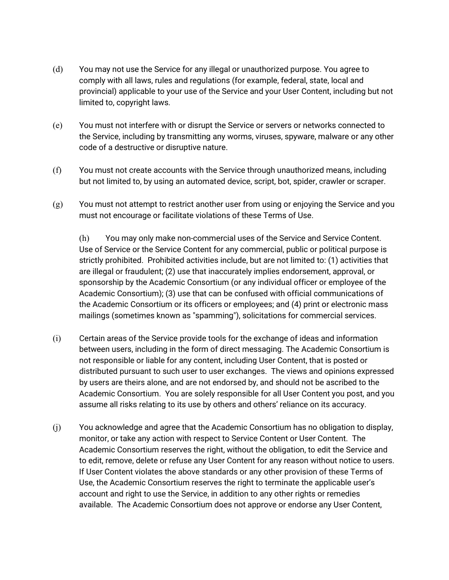- (d) You may not use the Service for any illegal or unauthorized purpose. You agree to comply with all laws, rules and regulations (for example, federal, state, local and provincial) applicable to your use of the Service and your User Content, including but not limited to, copyright laws.
- (e) You must not interfere with or disrupt the Service or servers or networks connected to the Service, including by transmitting any worms, viruses, spyware, malware or any other code of a destructive or disruptive nature.
- (f) You must not create accounts with the Service through unauthorized means, including but not limited to, by using an automated device, script, bot, spider, crawler or scraper.
- (g) You must not attempt to restrict another user from using or enjoying the Service and you must not encourage or facilitate violations of these Terms of Use.

(h) You may only make non-commercial uses of the Service and Service Content. Use of Service or the Service Content for any commercial, public or political purpose is strictly prohibited. Prohibited activities include, but are not limited to: (1) activities that are illegal or fraudulent; (2) use that inaccurately implies endorsement, approval, or sponsorship by the Academic Consortium (or any individual officer or employee of the Academic Consortium); (3) use that can be confused with official communications of the Academic Consortium or its officers or employees; and (4) print or electronic mass mailings (sometimes known as "spamming"), solicitations for commercial services.

- (i) Certain areas of the Service provide tools for the exchange of ideas and information between users, including in the form of direct messaging. The Academic Consortium is not responsible or liable for any content, including User Content, that is posted or distributed pursuant to such user to user exchanges. The views and opinions expressed by users are theirs alone, and are not endorsed by, and should not be ascribed to the Academic Consortium. You are solely responsible for all User Content you post, and you assume all risks relating to its use by others and others' reliance on its accuracy.
- (j) You acknowledge and agree that the Academic Consortium has no obligation to display, monitor, or take any action with respect to Service Content or User Content. The Academic Consortium reserves the right, without the obligation, to edit the Service and to edit, remove, delete or refuse any User Content for any reason without notice to users. If User Content violates the above standards or any other provision of these Terms of Use, the Academic Consortium reserves the right to terminate the applicable user's account and right to use the Service, in addition to any other rights or remedies available. The Academic Consortium does not approve or endorse any User Content,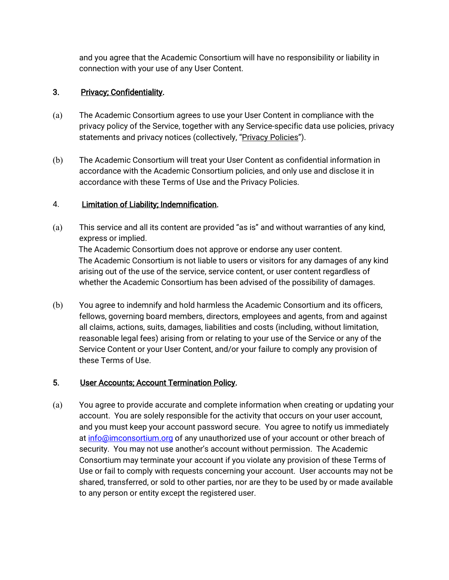and you agree that the Academic Consortium will have no responsibility or liability in connection with your use of any User Content.

# 3. Privacy; Confidentiality.

- (a) The Academic Consortium agrees to use your User Content in compliance with the privacy policy of the Service, together with any Service-specific data use policies, privacy statements and privacy notices (collectively, "Privacy Policies").
- (b) The Academic Consortium will treat your User Content as confidential information in accordance with the Academic Consortium policies, and only use and disclose it in accordance with these Terms of Use and the Privacy Policies.

# 4. Limitation of Liability; Indemnification.

- (a) This service and all its content are provided "as is" and without warranties of any kind, express or implied. The Academic Consortium does not approve or endorse any user content. The Academic Consortium is not liable to users or visitors for any damages of any kind arising out of the use of the service, service content, or user content regardless of whether the Academic Consortium has been advised of the possibility of damages.
- (b) You agree to indemnify and hold harmless the Academic Consortium and its officers, fellows, governing board members, directors, employees and agents, from and against all claims, actions, suits, damages, liabilities and costs (including, without limitation, reasonable legal fees) arising from or relating to your use of the Service or any of the Service Content or your User Content, and/or your failure to comply any provision of these Terms of Use.

# 5. User Accounts; Account Termination Policy.

(a) You agree to provide accurate and complete information when creating or updating your account. You are solely responsible for the activity that occurs on your user account, and you must keep your account password secure. You agree to notify us immediately at info@imconsortium.org of any unauthorized use of your account or other breach of security. You may not use another's account without permission. The Academic Consortium may terminate your account if you violate any provision of these Terms of Use or fail to comply with requests concerning your account. User accounts may not be shared, transferred, or sold to other parties, nor are they to be used by or made available to any person or entity except the registered user.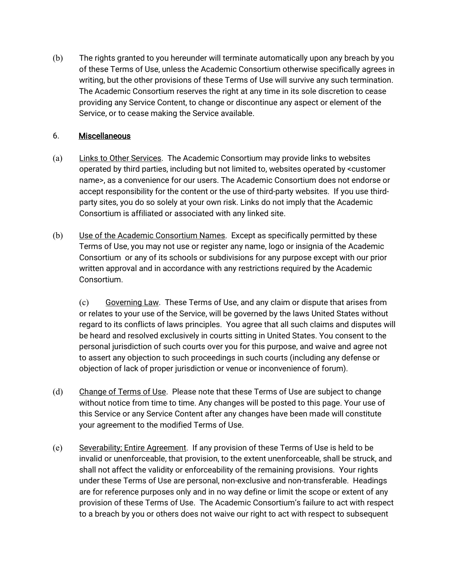(b) The rights granted to you hereunder will terminate automatically upon any breach by you of these Terms of Use, unless the Academic Consortium otherwise specifically agrees in writing, but the other provisions of these Terms of Use will survive any such termination. The Academic Consortium reserves the right at any time in its sole discretion to cease providing any Service Content, to change or discontinue any aspect or element of the Service, or to cease making the Service available.

### 6. Miscellaneous

- (a) Links to Other Services. The Academic Consortium may provide links to websites operated by third parties, including but not limited to, websites operated by <customer name>, as a convenience for our users. The Academic Consortium does not endorse or accept responsibility for the content or the use of third-party websites. If you use thirdparty sites, you do so solely at your own risk. Links do not imply that the Academic Consortium is affiliated or associated with any linked site.
- (b) Use of the Academic Consortium Names. Except as specifically permitted by these Terms of Use, you may not use or register any name, logo or insignia of the Academic Consortium or any of its schools or subdivisions for any purpose except with our prior written approval and in accordance with any restrictions required by the Academic Consortium.

(c) Governing Law. These Terms of Use, and any claim or dispute that arises from or relates to your use of the Service, will be governed by the laws United States without regard to its conflicts of laws principles. You agree that all such claims and disputes will be heard and resolved exclusively in courts sitting in United States. You consent to the personal jurisdiction of such courts over you for this purpose, and waive and agree not to assert any objection to such proceedings in such courts (including any defense or objection of lack of proper jurisdiction or venue or inconvenience of forum).

- (d) Change of Terms of Use. Please note that these Terms of Use are subject to change without notice from time to time. Any changes will be posted to this page. Your use of this Service or any Service Content after any changes have been made will constitute your agreement to the modified Terms of Use.
- (e) Severability; Entire Agreement. If any provision of these Terms of Use is held to be invalid or unenforceable, that provision, to the extent unenforceable, shall be struck, and shall not affect the validity or enforceability of the remaining provisions. Your rights under these Terms of Use are personal, non-exclusive and non-transferable. Headings are for reference purposes only and in no way define or limit the scope or extent of any provision of these Terms of Use. The Academic Consortium's failure to act with respect to a breach by you or others does not waive our right to act with respect to subsequent